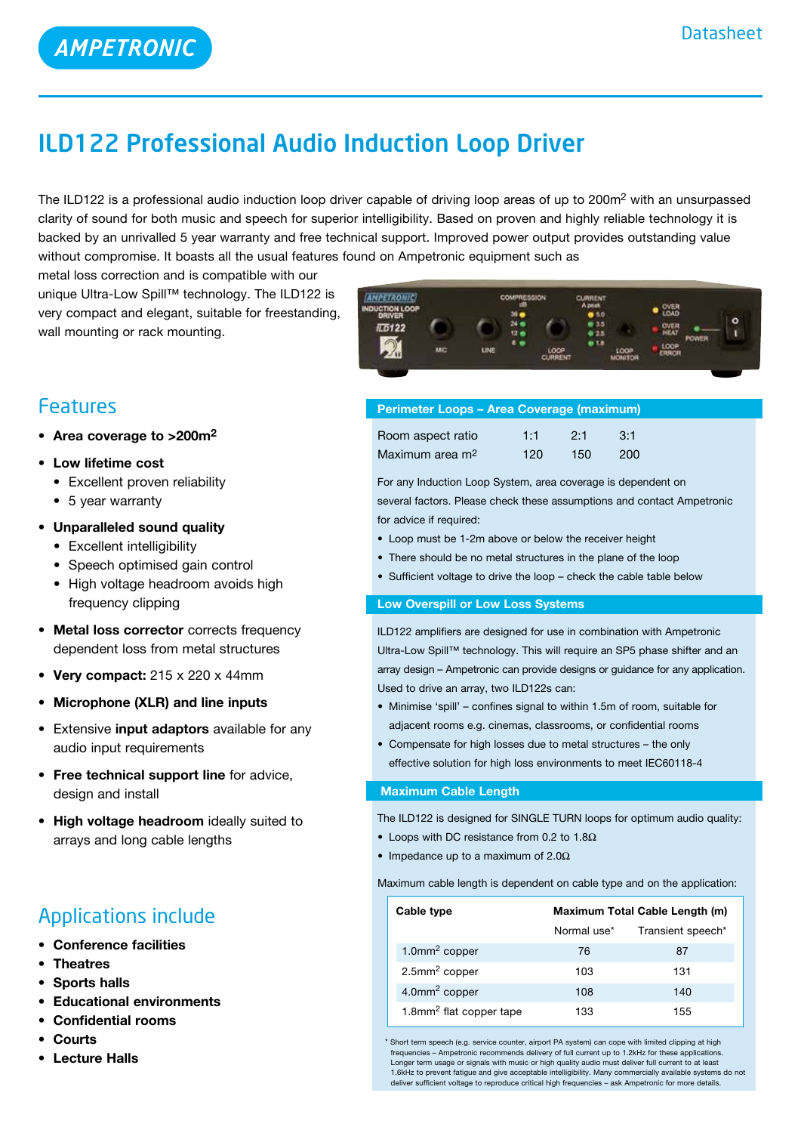$\bullet$  CMER

# ILD122 Professional Audio Induction Loop Driver

The ILD122 is a professional audio induction loop driver capable of driving loop areas of up to 200m<sup>2</sup> with an unsurpassed clarity of sound for both music and speech for superior intelligibility. Based on proven and highly reliable technology it is backed by an unrivalled 5 year warranty and free technical support. Improved power output provides outstanding value without compromise. It boasts all the usual features found on Ampetronic equipment such as

> **AMPETRONIC UCTION LOOP**

metal loss correction and is compatible with our unique Ultra-Low Spill™ technology. The ILD122 is very compact and elegant, suitable for freestanding, wall mounting or rack mounting.

### Features

- • **Area coverage to >200m2**
- • **Low lifetime cost** 
	- Excellent proven reliability
	- 5 year warranty
- **• Unparalleled sound quality**
	- Excellent intelligibility
	- Speech optimised gain control
	- High voltage headroom avoids high frequency clipping
- **• Metal loss corrector** corrects frequency dependent loss from metal structures
- **• Very compact:** 215 x 220 x 44mm
- **• Microphone (XLR) and line inputs**
- **•**  Extensive **input adaptors** available for any audio input requirements
- **• Free technical support line** for advice, design and install
- **• High voltage headroom** ideally suited to arrays and long cable lengths

## Applications include

- **• Conference facilities**
- **• Theatres**
- **Sports** halls
- **Educational environments**
- **• Confidential rooms**
- **• Courts**
- **• Lecture Halls**

| ILD 122<br>$\mathbb{R}^3$ | MC | LINE | $12 - 4$<br>6 O | LOOP                                       | 0.2.5<br><b>018</b> | LOOP           | <b>KEAT</b><br>OOP | <b>POWER</b> |  |
|---------------------------|----|------|-----------------|--------------------------------------------|---------------------|----------------|--------------------|--------------|--|
| u<br><b>CONTROL</b>       |    |      |                 | <b>CURRENT</b><br>the first product of the |                     | <b>MONITOR</b> | 常身白身               |              |  |

| <b>Perimeter Loops - Area Coverage (maximum)</b> |     |        |     |  |
|--------------------------------------------------|-----|--------|-----|--|
| Room aspect ratio                                | 1:1 | $-2.1$ | 3:1 |  |
| Maximum area m <sup>2</sup>                      | 120 | 150    | 200 |  |

For any Induction Loop System, area coverage is dependent on several factors. Please check these assumptions and contact Ampetronic for advice if required:

- Loop must be 1-2m above or below the receiver height
- There should be no metal structures in the plane of the loop
- Sufficient voltage to drive the loop check the cable table below

### **Low Overspill or Low Loss Systems**

ILD122 amplifiers are designed for use in combination with Ampetronic Ultra-Low Spill™ technology. This will require an SP5 phase shifter and an array design – Ampetronic can provide designs or guidance for any application. Used to drive an array, two ILD122s can:

- Minimise 'spill' confines signal to within 1.5m of room, suitable for adjacent rooms e.g. cinemas, classrooms, or confidential rooms
- Compensate for high losses due to metal structures the only effective solution for high loss environments to meet IEC60118-4

### **Maximum Cable Length**

The ILD122 is designed for SINGLE TURN loops for optimum audio quality:

- Loops with DC resistance from 0.2 to 1.8 $\Omega$
- Impedance up to a maximum of  $2.0\Omega$

Maximum cable length is dependent on cable type and on the application:

| Cable type                          | Maximum Total Cable Length (m) |                   |  |  |
|-------------------------------------|--------------------------------|-------------------|--|--|
|                                     | Normal use*                    | Transient speech* |  |  |
| 1.0 $mm2 copper$                    | 76                             | 87                |  |  |
| 2.5mm <sup>2</sup> copper           | 103                            | 131               |  |  |
| 4.0mm <sup>2</sup> copper           | 108                            | 140               |  |  |
| 1.8mm <sup>2</sup> flat copper tape | 133                            | 155               |  |  |

\* Short term speech (e.g. service counter, airport PA system) can cope with limited clipping at high frequencies – Ampetronic recommends delivery of full current up to 1.2kHz for these applications. Longer term usage or signals with music or high quality audio must deliver full current to at least 1.6kHz to prevent fatigue and give acceptable intelligibility. Many commercially available systems do not deliver sufficient voltage to reproduce critical high frequencies – ask Ampetronic for more details.